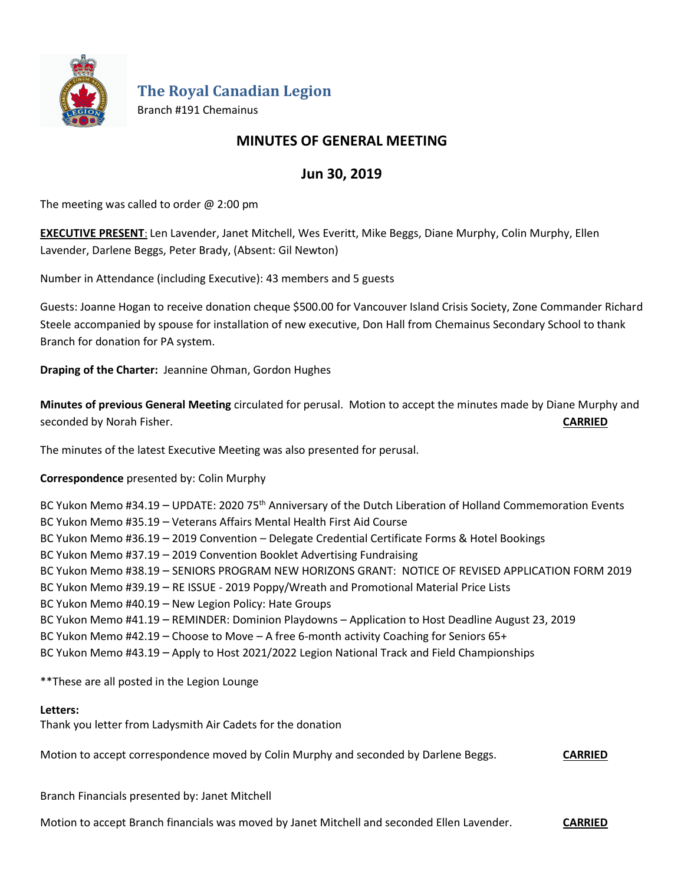

**The Royal Canadian Legion**

Branch #191 Chemainus

# **MINUTES OF GENERAL MEETING**

# **Jun 30, 2019**

The meeting was called to order  $@$  2:00 pm

**EXECUTIVE PRESENT**: Len Lavender, Janet Mitchell, Wes Everitt, Mike Beggs, Diane Murphy, Colin Murphy, Ellen Lavender, Darlene Beggs, Peter Brady, (Absent: Gil Newton)

Number in Attendance (including Executive): 43 members and 5 guests

Guests: Joanne Hogan to receive donation cheque \$500.00 for Vancouver Island Crisis Society, Zone Commander Richard Steele accompanied by spouse for installation of new executive, Don Hall from Chemainus Secondary School to thank Branch for donation for PA system.

**Draping of the Charter:** Jeannine Ohman, Gordon Hughes

**Minutes of previous General Meeting** circulated for perusal. Motion to accept the minutes made by Diane Murphy and seconded by Norah Fisher. **CARRIED**

The minutes of the latest Executive Meeting was also presented for perusal.

**Correspondence** presented by: Colin Murphy

BC Yukon Memo #34.19 - UPDATE: 2020 75<sup>th</sup> Anniversary of the Dutch Liberation of Holland Commemoration Events BC Yukon Memo #35.19 – Veterans Affairs Mental Health First Aid Course BC Yukon Memo #36.19 – 2019 Convention – Delegate Credential Certificate Forms & Hotel Bookings BC Yukon Memo #37.19 – 2019 Convention Booklet Advertising Fundraising BC Yukon Memo #38.19 – SENIORS PROGRAM NEW HORIZONS GRANT: NOTICE OF REVISED APPLICATION FORM 2019 BC Yukon Memo #39.19 – RE ISSUE - 2019 Poppy/Wreath and Promotional Material Price Lists BC Yukon Memo #40.19 – New Legion Policy: Hate Groups BC Yukon Memo #41.19 – REMINDER: Dominion Playdowns – Application to Host Deadline August 23, 2019 BC Yukon Memo #42.19 – Choose to Move – A free 6-month activity Coaching for Seniors 65+ BC Yukon Memo #43.19 – Apply to Host 2021/2022 Legion National Track and Field Championships

\*\*These are all posted in the Legion Lounge

# **Letters:**

Thank you letter from Ladysmith Air Cadets for the donation

Motion to accept correspondence moved by Colin Murphy and seconded by Darlene Beggs. **CARRIED**

Branch Financials presented by: Janet Mitchell

Motion to accept Branch financials was moved by Janet Mitchell and seconded Ellen Lavender. **CARRIED**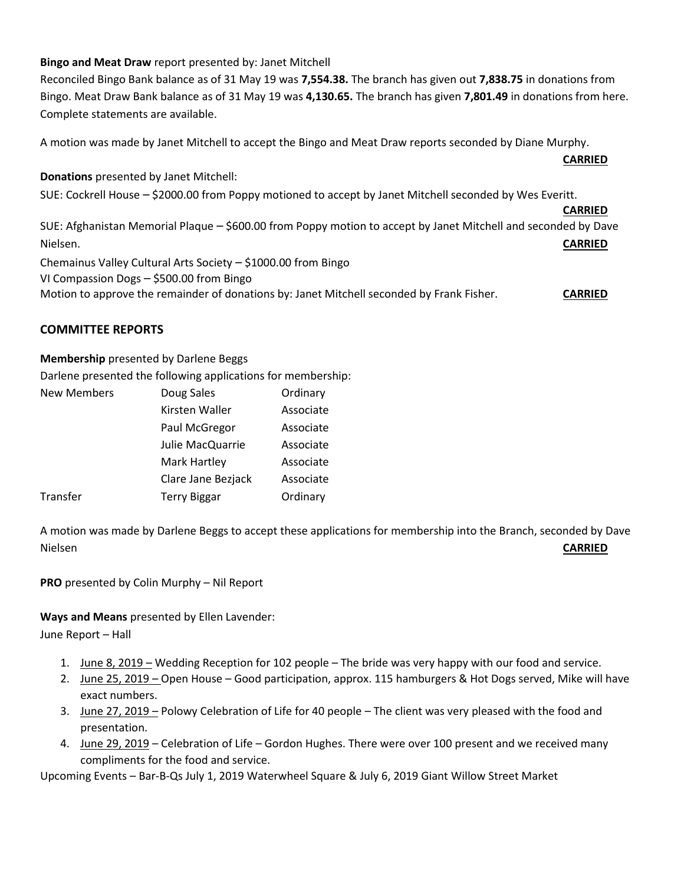# **Bingo and Meat Draw** report presented by: Janet Mitchell

Reconciled Bingo Bank balance as of 31 May 19 was **7,554.38.** The branch has given out **7,838.75** in donations from Bingo. Meat Draw Bank balance as of 31 May 19 was **4,130.65.** The branch has given **7,801.49** in donations from here. Complete statements are available.

**CARRIED**

A motion was made by Janet Mitchell to accept the Bingo and Meat Draw reports seconded by Diane Murphy.

**Donations** presented by Janet Mitchell: SUE: Cockrell House – \$2000.00 from Poppy motioned to accept by Janet Mitchell seconded by Wes Everitt. **CARRIED** SUE: Afghanistan Memorial Plaque – \$600.00 from Poppy motion to accept by Janet Mitchell and seconded by Dave Nielsen. **CARRIED** Chemainus Valley Cultural Arts Society – \$1000.00 from Bingo

VI Compassion Dogs – \$500.00 from Bingo

Motion to approve the remainder of donations by: Janet Mitchell seconded by Frank Fisher. **CARRIED**

# **COMMITTEE REPORTS**

**Membership** presented by Darlene Beggs

Darlene presented the following applications for membership:

| <b>New Members</b> | Doug Sales          | Ordinary  |
|--------------------|---------------------|-----------|
|                    | Kirsten Waller      | Associate |
|                    | Paul McGregor       | Associate |
|                    | Julie MacQuarrie    | Associate |
|                    | Mark Hartley        | Associate |
|                    | Clare Jane Bezjack  | Associate |
| Transfer           | <b>Terry Biggar</b> | Ordinary  |
|                    |                     |           |

A motion was made by Darlene Beggs to accept these applications for membership into the Branch, seconded by Dave Nielsen **CARRIED**

**PRO** presented by Colin Murphy – Nil Report

## **Ways and Means** presented by Ellen Lavender:

June Report – Hall

- 1. June 8, 2019 Wedding Reception for 102 people The bride was very happy with our food and service.
- 2. June 25, 2019 Open House Good participation, approx. 115 hamburgers & Hot Dogs served, Mike will have exact numbers.
- 3. June 27, 2019 Polowy Celebration of Life for 40 people The client was very pleased with the food and presentation.
- 4. June 29, 2019 Celebration of Life Gordon Hughes. There were over 100 present and we received many compliments for the food and service.

Upcoming Events – Bar-B-Qs July 1, 2019 Waterwheel Square & July 6, 2019 Giant Willow Street Market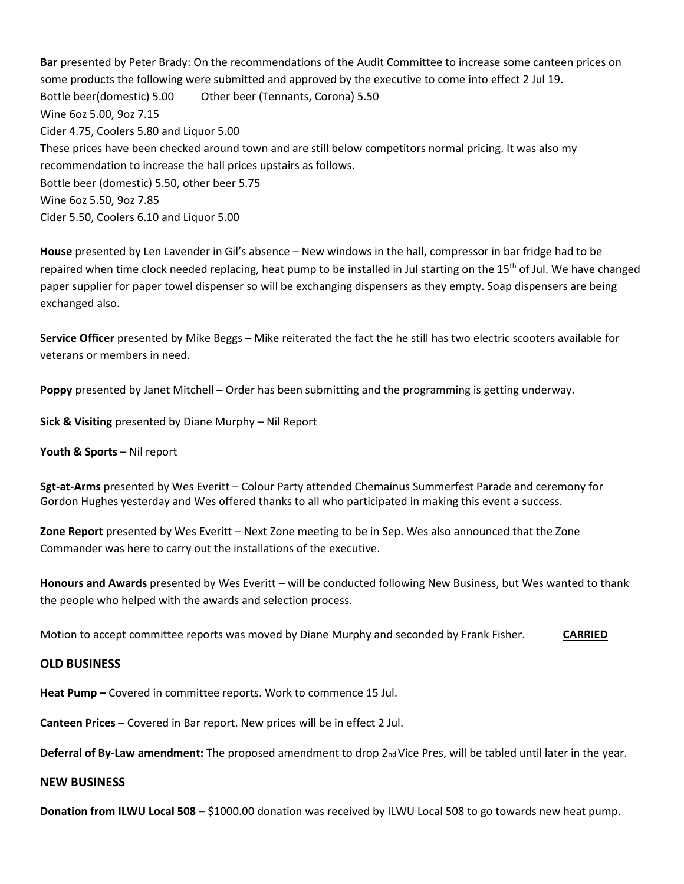**Bar** presented by Peter Brady: On the recommendations of the Audit Committee to increase some canteen prices on some products the following were submitted and approved by the executive to come into effect 2 Jul 19. Bottle beer(domestic) 5.00 Other beer (Tennants, Corona) 5.50 Wine 6oz 5.00, 9oz 7.15 Cider 4.75, Coolers 5.80 and Liquor 5.00 These prices have been checked around town and are still below competitors normal pricing. It was also my recommendation to increase the hall prices upstairs as follows. Bottle beer (domestic) 5.50, other beer 5.75 Wine 6oz 5.50, 9oz 7.85 Cider 5.50, Coolers 6.10 and Liquor 5.00

**House** presented by Len Lavender in Gil's absence – New windows in the hall, compressor in bar fridge had to be repaired when time clock needed replacing, heat pump to be installed in Jul starting on the  $15<sup>th</sup>$  of Jul. We have changed paper supplier for paper towel dispenser so will be exchanging dispensers as they empty. Soap dispensers are being exchanged also.

**Service Officer** presented by Mike Beggs – Mike reiterated the fact the he still has two electric scooters available for veterans or members in need.

**Poppy** presented by Janet Mitchell – Order has been submitting and the programming is getting underway.

**Sick & Visiting** presented by Diane Murphy – Nil Report

**Youth & Sports** – Nil report

**Sgt-at-Arms** presented by Wes Everitt – Colour Party attended Chemainus Summerfest Parade and ceremony for Gordon Hughes yesterday and Wes offered thanks to all who participated in making this event a success.

**Zone Report** presented by Wes Everitt – Next Zone meeting to be in Sep. Wes also announced that the Zone Commander was here to carry out the installations of the executive.

**Honours and Awards** presented by Wes Everitt – will be conducted following New Business, but Wes wanted to thank the people who helped with the awards and selection process.

Motion to accept committee reports was moved by Diane Murphy and seconded by Frank Fisher. **CARRIED**

### **OLD BUSINESS**

**Heat Pump –** Covered in committee reports. Work to commence 15 Jul.

**Canteen Prices –** Covered in Bar report. New prices will be in effect 2 Jul.

**Deferral of By-Law amendment:** The proposed amendment to drop 2<sub>nd</sub> Vice Pres, will be tabled until later in the year.

#### **NEW BUSINESS**

**Donation from ILWU Local 508 –** \$1000.00 donation was received by ILWU Local 508 to go towards new heat pump.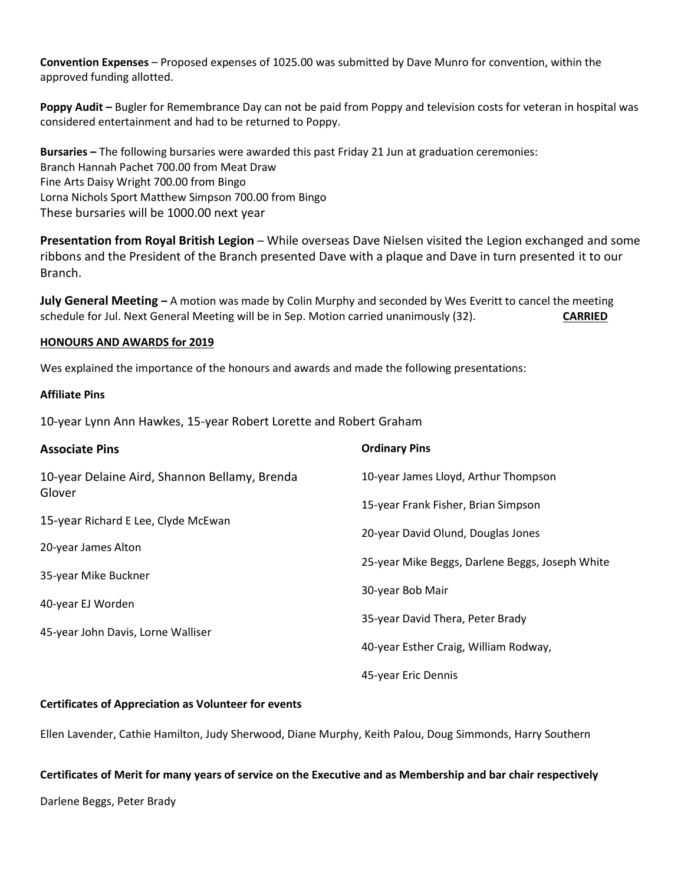**Convention Expenses** – Proposed expenses of 1025.00 was submitted by Dave Munro for convention, within the approved funding allotted.

**Poppy Audit –** Bugler for Remembrance Day can not be paid from Poppy and television costs for veteran in hospital was considered entertainment and had to be returned to Poppy.

**Bursaries –** The following bursaries were awarded this past Friday 21 Jun at graduation ceremonies: Branch Hannah Pachet 700.00 from Meat Draw Fine Arts Daisy Wright 700.00 from Bingo Lorna Nichols Sport Matthew Simpson 700.00 from Bingo These bursaries will be 1000.00 next year

**Presentation from Royal British Legion** – While overseas Dave Nielsen visited the Legion exchanged and some ribbons and the President of the Branch presented Dave with a plaque and Dave in turn presented it to our Branch.

**July General Meeting –** A motion was made by Colin Murphy and seconded by Wes Everitt to cancel the meeting schedule for Jul. Next General Meeting will be in Sep. Motion carried unanimously (32). **CARRIED**

#### **HONOURS AND AWARDS for 2019**

Wes explained the importance of the honours and awards and made the following presentations:

#### **Affiliate Pins**

10-year Lynn Ann Hawkes, 15-year Robert Lorette and Robert Graham

| <b>Associate Pins</b>                         | <b>Ordinary Pins</b>                            |  |
|-----------------------------------------------|-------------------------------------------------|--|
| 10-year Delaine Aird, Shannon Bellamy, Brenda | 10-year James Lloyd, Arthur Thompson            |  |
| Glover                                        | 15-year Frank Fisher, Brian Simpson             |  |
| 15-year Richard E Lee, Clyde McEwan           | 20-year David Olund, Douglas Jones              |  |
| 20-year James Alton                           |                                                 |  |
| 35-year Mike Buckner                          | 25-year Mike Beggs, Darlene Beggs, Joseph White |  |
| 40-year EJ Worden                             | 30-year Bob Mair                                |  |
|                                               | 35-year David Thera, Peter Brady                |  |
| 45-year John Davis, Lorne Walliser            | 40-year Esther Craig, William Rodway,           |  |
|                                               | 45-year Eric Dennis                             |  |

## **Certificates of Appreciation as Volunteer for events**

Ellen Lavender, Cathie Hamilton, Judy Sherwood, Diane Murphy, Keith Palou, Doug Simmonds, Harry Southern

#### **Certificates of Merit for many years of service on the Executive and as Membership and bar chair respectively**

Darlene Beggs, Peter Brady